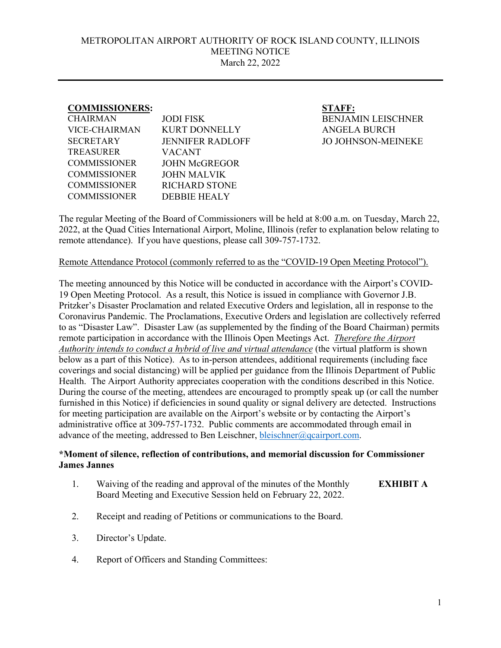## METROPOLITAN AIRPORT AUTHORITY OF ROCK ISLAND COUNTY, ILLINOIS MEETING NOTICE March 22, 2022

## **COMMISSIONERS: STAFF:**

| <b>CHAIRMAN</b>      | <b>JODI FISK</b>        |
|----------------------|-------------------------|
| <b>VICE-CHAIRMAN</b> | <b>KURT DONNELLY</b>    |
| <b>SECRETARY</b>     | <b>JENNIFER RADLOFF</b> |
| TREASURER            | VACANT                  |
| <b>COMMISSIONER</b>  | <b>JOHN McGREGOR</b>    |
| <b>COMMISSIONER</b>  | <b>JOHN MALVIK</b>      |
| <b>COMMISSIONER</b>  | <b>RICHARD STONE</b>    |
| <b>COMMISSIONER</b>  | <b>DEBBIE HEALY</b>     |
|                      |                         |

**BENJAMIN LEISCHNER** ANGELA BURCH JO JOHNSON-MEINEKE

The regular Meeting of the Board of Commissioners will be held at 8:00 a.m. on Tuesday, March 22, 2022, at the Quad Cities International Airport, Moline, Illinois (refer to explanation below relating to remote attendance). If you have questions, please call 309-757-1732.

## Remote Attendance Protocol (commonly referred to as the "COVID-19 Open Meeting Protocol").

The meeting announced by this Notice will be conducted in accordance with the Airport's COVID-19 Open Meeting Protocol. As a result, this Notice is issued in compliance with Governor J.B. Pritzker's Disaster Proclamation and related Executive Orders and legislation, all in response to the Coronavirus Pandemic. The Proclamations, Executive Orders and legislation are collectively referred to as "Disaster Law". Disaster Law (as supplemented by the finding of the Board Chairman) permits remote participation in accordance with the Illinois Open Meetings Act. *Therefore the Airport Authority intends to conduct a hybrid of live and virtual attendance* (the virtual platform is shown below as a part of this Notice). As to in-person attendees, additional requirements (including face coverings and social distancing) will be applied per guidance from the Illinois Department of Public Health. The Airport Authority appreciates cooperation with the conditions described in this Notice. During the course of the meeting, attendees are encouraged to promptly speak up (or call the number furnished in this Notice) if deficiencies in sound quality or signal delivery are detected. Instructions for meeting participation are available on the Airport's website or by contacting the Airport's administrative office at 309-757-1732. Public comments are accommodated through email in advance of the meeting, addressed to Ben Leischner, [bleischner@qcairport.com.](mailto:bleischner@qcairport.com)

## **\*Moment of silence, reflection of contributions, and memorial discussion for Commissioner James Jannes**

- 1. Waiving of the reading and approval of the minutes of the Monthly Board Meeting and Executive Session held on February 22, 2022. **EXHIBIT A**
- 2. Receipt and reading of Petitions or communications to the Board.
- 3. Director's Update.
- 4. Report of Officers and Standing Committees: